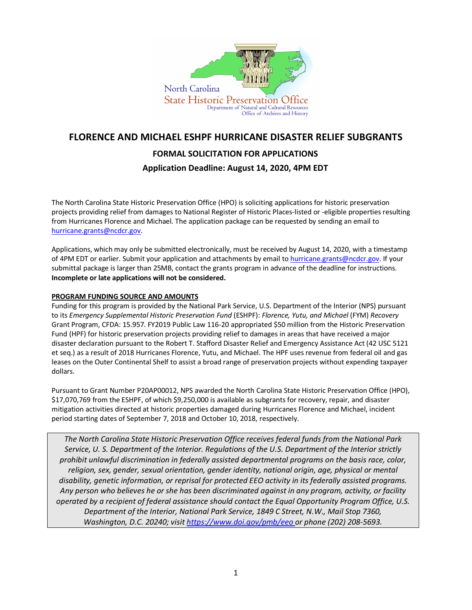

# **FLORENCE AND MICHAEL ESHPF HURRICANE DISASTER RELIEF SUBGRANTS FORMAL SOLICITATION FOR APPLICATIONS**

# **Application Deadline: August 14, 2020, 4PM EDT**

The North Carolina State Historic Preservation Office (HPO) is soliciting applications for historic preservation projects providing relief from damages to National Register of Historic Places-listed or -eligible properties resulting from Hurricanes Florence and Michael. The application package can be requested by sending an email to [hurricane.grants@ncdcr.gov.](mailto:hurricane.grants@ncdcr.gov)

Applications, which may only be submitted electronically, must be received by August 14, 2020, with a timestamp of 4PM EDT or earlier. Submit your application and attachments by email t[o hurricane.grants@ncdcr.gov.](mailto:hurricane.grants@ncdcr.gov) If your submittal package is larger than 25MB, contact the grants program in advance of the deadline for instructions. **Incomplete or late applications will not be considered.**

# **PROGRAM FUNDING SOURCE AND AMOUNTS**

Funding for this program is provided by the National Park Service, U.S. Department of the Interior (NPS) pursuant to its *Emergency Supplemental Historic Preservation Fund* (ESHPF): *Florence, Yutu, and Michael* (FYM) *Recovery*  Grant Program, CFDA: 15.957. FY2019 Public Law 116-20 appropriated \$50 million from the Historic Preservation Fund (HPF) for historic preservation projects providing relief to damages in areas that have received a major disaster declaration pursuant to the Robert T. Stafford Disaster Relief and Emergency Assistance Act (42 USC 5121 et seq.) as a result of 2018 Hurricanes Florence, Yutu, and Michael. The HPF uses revenue from federal oil and gas leases on the Outer Continental Shelf to assist a broad range of preservation projects without expending taxpayer dollars.

Pursuant to Grant Number P20AP00012, NPS awarded the North Carolina State Historic Preservation Office (HPO), \$17,070,769 from the ESHPF, of which \$9,250,000 is available as subgrants for recovery, repair, and disaster mitigation activities directed at historic properties damaged during Hurricanes Florence and Michael, incident period starting dates of September 7, 2018 and October 10, 2018, respectively.

*The North Carolina State Historic Preservation Office receives federal funds from the National Park Service, U. S. Department of the Interior. Regulations of the U.S. Department of the Interior strictly prohibit unlawful discrimination in federally assisted departmental programs on the basis race, color, religion, sex, gender, sexual orientation, gender identity, national origin, age, physical or mental disability, genetic information, or reprisal for protected EEO activity in its federally assisted programs. Any person who believes he or she has been discriminated against in any program, activity, or facility operated by a recipient of federal assistance should contact the Equal Opportunity Program Office, U.S. Department of the Interior, National Park Service, 1849 C Street, N.W., Mail Stop 7360, Washington, D.C. 20240; visit<https://www.doi.gov/pmb/eeo> or phone (202) 208-5693.*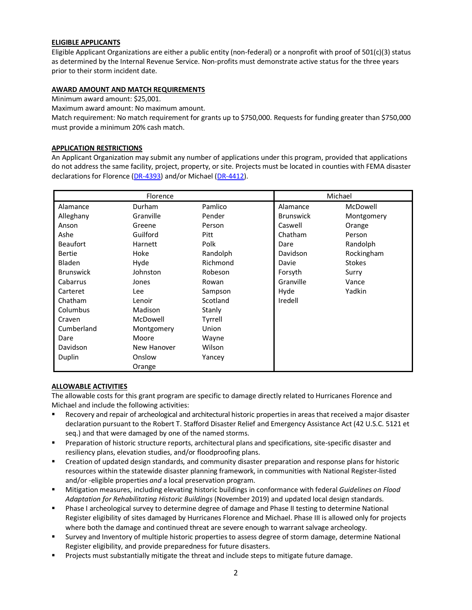#### **ELIGIBLE APPLICANTS**

Eligible Applicant Organizations are either a public entity (non-federal) or a nonprofit with proof of 501(c)(3) status as determined by the Internal Revenue Service. Non-profits must demonstrate active status for the three years prior to their storm incident date.

#### **AWARD AMOUNT AND MATCH REQUIREMENTS**

Minimum award amount: \$25,001.

Maximum award amount: No maximum amount.

Match requirement: No match requirement for grants up to \$750,000. Requests for funding greater than \$750,000 must provide a minimum 20% cash match.

#### **APPLICATION RESTRICTIONS**

An Applicant Organization may submit any number of applications under this program, provided that applications do not address the same facility, project, property, or site. Projects must be located in counties with FEMA disaster declarations for Florence [\(DR-4393\)](https://www.fema.gov/disaster/4393) and/or Michael [\(DR-4412\)](https://www.fema.gov/disaster/4412).

| Florence         |             |             | Michael          |               |
|------------------|-------------|-------------|------------------|---------------|
| Alamance         | Durham      | Pamlico     | Alamance         | McDowell      |
| Alleghany        | Granville   | Pender      | <b>Brunswick</b> | Montgomery    |
| Anson            | Greene      | Person      | Caswell          | Orange        |
| Ashe             | Guilford    | <b>Pitt</b> | Chatham          | Person        |
| <b>Beaufort</b>  | Harnett     | Polk        | Dare             | Randolph      |
| <b>Bertie</b>    | Hoke        | Randolph    | Davidson         | Rockingham    |
| Bladen           | Hyde        | Richmond    | Davie            | <b>Stokes</b> |
| <b>Brunswick</b> | Johnston    | Robeson     | Forsyth          | Surry         |
| Cabarrus         | Jones       | Rowan       | Granville        | Vance         |
| Carteret         | Lee         | Sampson     | Hyde             | Yadkin        |
| Chatham          | Lenoir      | Scotland    | Iredell          |               |
| Columbus         | Madison     | Stanly      |                  |               |
| Craven           | McDowell    | Tyrrell     |                  |               |
| Cumberland       | Montgomery  | Union       |                  |               |
| Dare             | Moore       | Wayne       |                  |               |
| Davidson         | New Hanover | Wilson      |                  |               |
| Duplin           | Onslow      | Yancey      |                  |               |
|                  | Orange      |             |                  |               |

#### **ALLOWABLE ACTIVITIES**

The allowable costs for this grant program are specific to damage directly related to Hurricanes Florence and Michael and include the following activities:

- Recovery and repair of archeological and architectural historic propertiesin areas that received a major disaster declaration pursuant to the Robert T. Stafford Disaster Relief and Emergency Assistance Act (42 U.S.C. 5121 et seq.) and that were damaged by one of the named storms.
- **Preparation of historic structure reports, architectural plans and specifications, site-specific disaster and** resiliency plans, elevation studies, and/or floodproofing plans.
- Creation of updated design standards, and community disaster preparation and response plans for historic resources within the statewide disaster planning framework, in communities with National Register-listed and/or -eligible properties *and* a local preservation program.
- Mitigation measures, including elevating historic buildings in conformance with federal *Guidelines on Flood Adaptation for Rehabilitating Historic Buildings* (November 2019) and updated local design standards.
- Phase I archeological survey to determine degree of damage and Phase II testing to determine National Register eligibility of sites damaged by Hurricanes Florence and Michael. Phase III is allowed only for projects where both the damage and continued threat are severe enough to warrant salvage archeology.
- Survey and Inventory of multiple historic properties to assess degree of storm damage, determine National Register eligibility, and provide preparedness for future disasters.
- Projects must substantially mitigate the threat and include steps to mitigate future damage.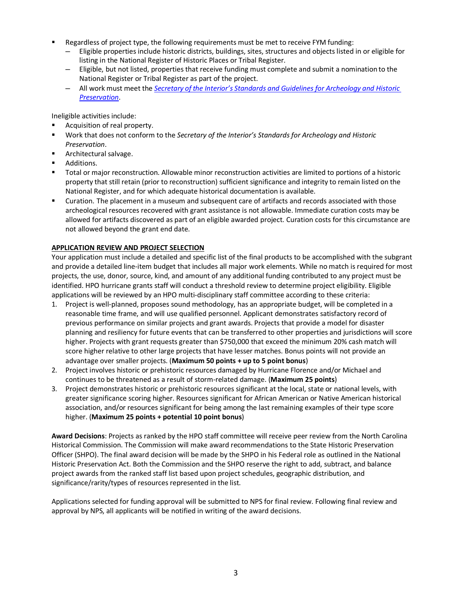- Regardless of project type, the following requirements must be met to receive FYM funding:
	- ─ Eligible properties include historic districts, buildings, sites, structures and objects listed in or eligible for listing in the National Register of Historic Places or Tribal Register.
	- Eligible, but not listed, properties that receive funding must complete and submit a nomination to the National Register or Tribal Register as part of the project.
	- ─ All work must meet the *Secretary of the Interior's Standards and Guidelines for Archeology [and Historic](https://www.nps.gov/history/local-law/arch_stnds_0.htm) [Preservation](https://www.nps.gov/history/local-law/arch_stnds_0.htm)*.

Ineligible activities include:

- Acquisition of real property.
- Work that does not conform to the *Secretary of the Interior's Standards for Archeology and Historic Preservation*.
- **Architectural salvage.**
- Additions.
- Total or major reconstruction. Allowable minor reconstruction activities are limited to portions of a historic property that still retain (prior to reconstruction) sufficient significance and integrity to remain listed on the National Register, and for which adequate historical documentation is available.
- Curation. The placement in a museum and subsequent care of artifacts and records associated with those archeological resources recovered with grant assistance is not allowable. Immediate curation costs may be allowed for artifacts discovered as part of an eligible awarded project. Curation costs for this circumstance are not allowed beyond the grant end date.

# **APPLICATION REVIEW AND PROJECT SELECTION**

Your application must include a detailed and specific list of the final products to be accomplished with the subgrant and provide a detailed line-item budget that includes all major work elements. While no match is required for most projects, the use, donor, source, kind, and amount of any additional funding contributed to any project must be identified. HPO hurricane grants staff will conduct a threshold review to determine project eligibility. Eligible applications will be reviewed by an HPO multi-disciplinary staff committee according to these criteria:

- 1. Project is well-planned, proposes sound methodology, has an appropriate budget, will be completed in a reasonable time frame, and will use qualified personnel. Applicant demonstrates satisfactory record of previous performance on similar projects and grant awards. Projects that provide a model for disaster planning and resiliency for future events that can be transferred to other properties and jurisdictions will score higher. Projects with grant requests greater than \$750,000 that exceed the minimum 20% cash match will score higher relative to other large projects that have lesser matches. Bonus points will not provide an advantage over smaller projects. (**Maximum 50 points + up to 5 point bonus**)
- 2. Project involves historic or prehistoric resources damaged by Hurricane Florence and/or Michael and continues to be threatened as a result of storm-related damage. (**Maximum 25 points**)
- 3. Project demonstrates historic or prehistoric resources significant at the local, state or national levels, with greater significance scoring higher. Resources significant for African American or Native American historical association, and/or resources significant for being among the last remaining examples of their type score higher. (**Maximum 25 points + potential 10 point bonus**)

**Award Decisions**: Projects as ranked by the HPO staff committee will receive peer review from the North Carolina Historical Commission. The Commission will make award recommendations to the State Historic Preservation Officer (SHPO). The final award decision will be made by the SHPO in his Federal role as outlined in the National Historic Preservation Act. Both the Commission and the SHPO reserve the right to add, subtract, and balance project awards from the ranked staff list based upon project schedules, geographic distribution, and significance/rarity/types of resources represented in the list.

Applications selected for funding approval will be submitted to NPS for final review. Following final review and approval by NPS, all applicants will be notified in writing of the award decisions.